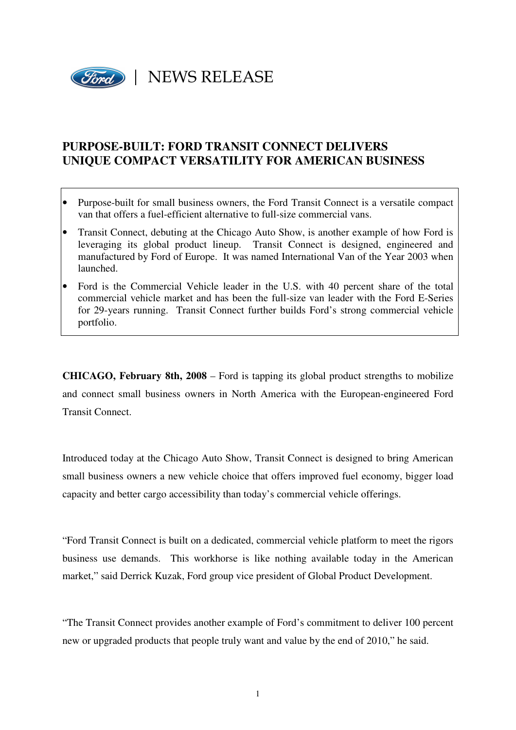

# **PURPOSE-BUILT: FORD TRANSIT CONNECT DELIVERS UNIQUE COMPACT VERSATILITY FOR AMERICAN BUSINESS**

- Purpose-built for small business owners, the Ford Transit Connect is a versatile compact van that offers a fuel-efficient alternative to full-size commercial vans.
- Transit Connect, debuting at the Chicago Auto Show, is another example of how Ford is leveraging its global product lineup. Transit Connect is designed, engineered and manufactured by Ford of Europe. It was named International Van of the Year 2003 when launched.
- Ford is the Commercial Vehicle leader in the U.S. with 40 percent share of the total commercial vehicle market and has been the full-size van leader with the Ford E-Series for 29-years running. Transit Connect further builds Ford's strong commercial vehicle portfolio.

**CHICAGO, February 8th, 2008** – Ford is tapping its global product strengths to mobilize and connect small business owners in North America with the European-engineered Ford Transit Connect.

Introduced today at the Chicago Auto Show, Transit Connect is designed to bring American small business owners a new vehicle choice that offers improved fuel economy, bigger load capacity and better cargo accessibility than today's commercial vehicle offerings.

"Ford Transit Connect is built on a dedicated, commercial vehicle platform to meet the rigors business use demands. This workhorse is like nothing available today in the American market," said Derrick Kuzak, Ford group vice president of Global Product Development.

"The Transit Connect provides another example of Ford's commitment to deliver 100 percent new or upgraded products that people truly want and value by the end of 2010," he said.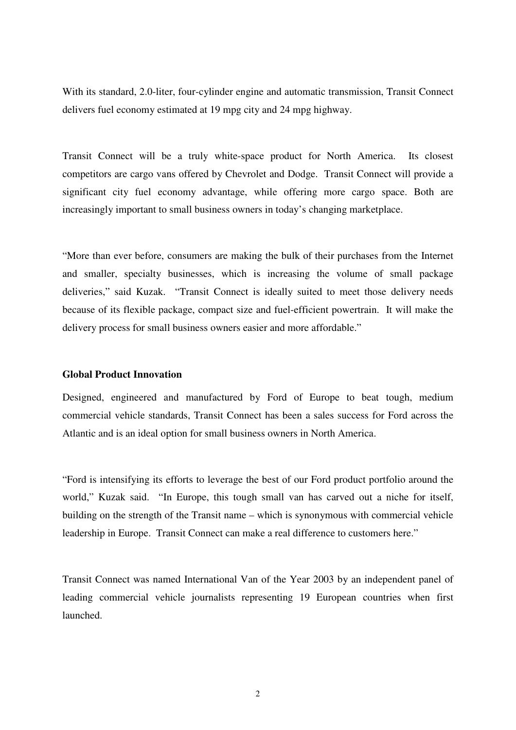With its standard, 2.0-liter, four-cylinder engine and automatic transmission, Transit Connect delivers fuel economy estimated at 19 mpg city and 24 mpg highway.

Transit Connect will be a truly white-space product for North America. Its closest competitors are cargo vans offered by Chevrolet and Dodge. Transit Connect will provide a significant city fuel economy advantage, while offering more cargo space. Both are increasingly important to small business owners in today's changing marketplace.

"More than ever before, consumers are making the bulk of their purchases from the Internet and smaller, specialty businesses, which is increasing the volume of small package deliveries," said Kuzak. "Transit Connect is ideally suited to meet those delivery needs because of its flexible package, compact size and fuel-efficient powertrain. It will make the delivery process for small business owners easier and more affordable."

### **Global Product Innovation**

Designed, engineered and manufactured by Ford of Europe to beat tough, medium commercial vehicle standards, Transit Connect has been a sales success for Ford across the Atlantic and is an ideal option for small business owners in North America.

"Ford is intensifying its efforts to leverage the best of our Ford product portfolio around the world," Kuzak said. "In Europe, this tough small van has carved out a niche for itself, building on the strength of the Transit name – which is synonymous with commercial vehicle leadership in Europe. Transit Connect can make a real difference to customers here."

Transit Connect was named International Van of the Year 2003 by an independent panel of leading commercial vehicle journalists representing 19 European countries when first launched.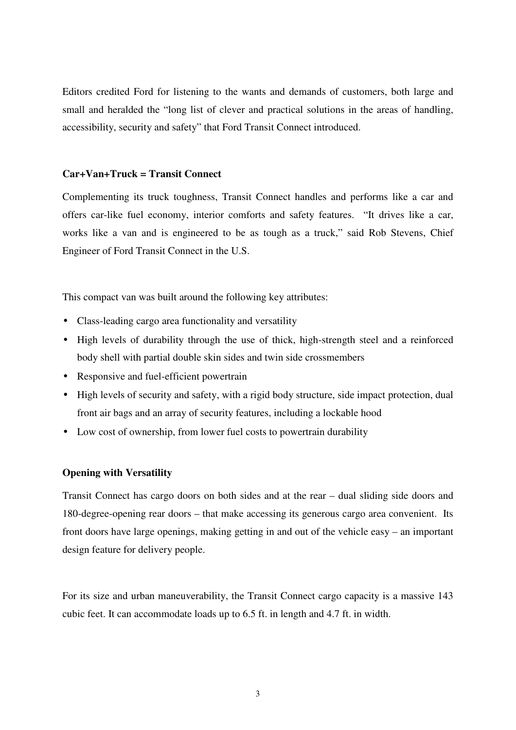Editors credited Ford for listening to the wants and demands of customers, both large and small and heralded the "long list of clever and practical solutions in the areas of handling, accessibility, security and safety" that Ford Transit Connect introduced.

#### **Car+Van+Truck = Transit Connect**

Complementing its truck toughness, Transit Connect handles and performs like a car and offers car-like fuel economy, interior comforts and safety features. "It drives like a car, works like a van and is engineered to be as tough as a truck," said Rob Stevens, Chief Engineer of Ford Transit Connect in the U.S.

This compact van was built around the following key attributes:

- Class-leading cargo area functionality and versatility
- High levels of durability through the use of thick, high-strength steel and a reinforced body shell with partial double skin sides and twin side crossmembers
- Responsive and fuel-efficient powertrain
- High levels of security and safety, with a rigid body structure, side impact protection, dual front air bags and an array of security features, including a lockable hood
- Low cost of ownership, from lower fuel costs to powertrain durability

## **Opening with Versatility**

Transit Connect has cargo doors on both sides and at the rear – dual sliding side doors and 180-degree-opening rear doors – that make accessing its generous cargo area convenient. Its front doors have large openings, making getting in and out of the vehicle easy – an important design feature for delivery people.

For its size and urban maneuverability, the Transit Connect cargo capacity is a massive 143 cubic feet. It can accommodate loads up to 6.5 ft. in length and 4.7 ft. in width.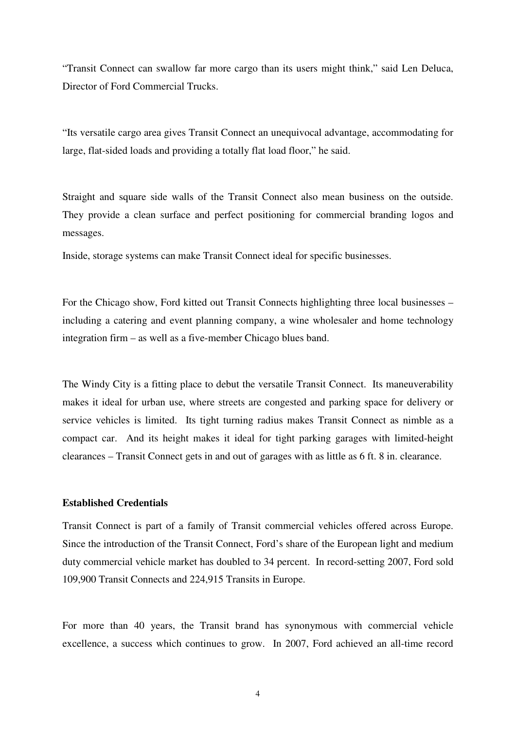"Transit Connect can swallow far more cargo than its users might think," said Len Deluca, Director of Ford Commercial Trucks.

"Its versatile cargo area gives Transit Connect an unequivocal advantage, accommodating for large, flat-sided loads and providing a totally flat load floor," he said.

Straight and square side walls of the Transit Connect also mean business on the outside. They provide a clean surface and perfect positioning for commercial branding logos and messages.

Inside, storage systems can make Transit Connect ideal for specific businesses.

For the Chicago show, Ford kitted out Transit Connects highlighting three local businesses – including a catering and event planning company, a wine wholesaler and home technology integration firm – as well as a five-member Chicago blues band.

The Windy City is a fitting place to debut the versatile Transit Connect. Its maneuverability makes it ideal for urban use, where streets are congested and parking space for delivery or service vehicles is limited. Its tight turning radius makes Transit Connect as nimble as a compact car. And its height makes it ideal for tight parking garages with limited-height clearances – Transit Connect gets in and out of garages with as little as 6 ft. 8 in. clearance.

#### **Established Credentials**

Transit Connect is part of a family of Transit commercial vehicles offered across Europe. Since the introduction of the Transit Connect, Ford's share of the European light and medium duty commercial vehicle market has doubled to 34 percent. In record-setting 2007, Ford sold 109,900 Transit Connects and 224,915 Transits in Europe.

For more than 40 years, the Transit brand has synonymous with commercial vehicle excellence, a success which continues to grow. In 2007, Ford achieved an all-time record